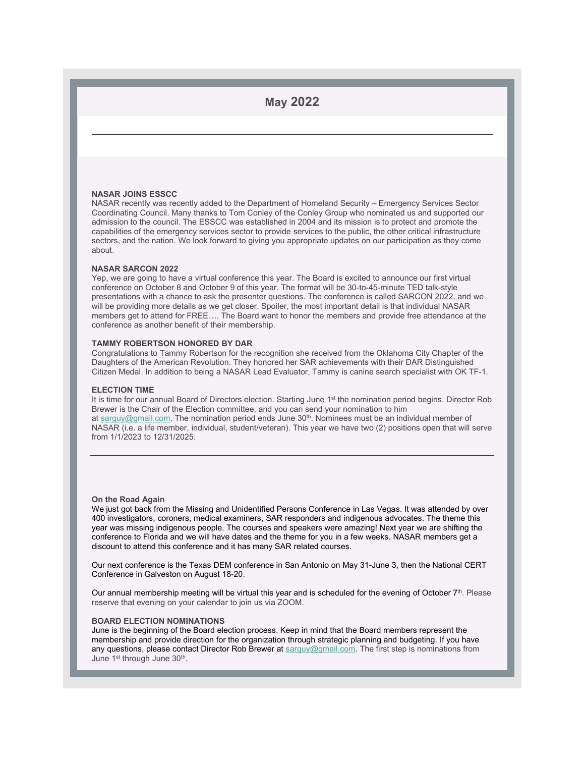## **May 2022**

#### **NASAR JOINS ESSCC**

NASAR recently was recently added to the Department of Homeland Security – Emergency Services Sector Coordinating Council. Many thanks to Tom Conley of the Conley Group who nominated us and supported our admission to the council. The ESSCC was established in 2004 and its mission isto protect and promote the capabilities of the emergency services sector to provide services to the public, the other critical infrastructure sectors, and the nation. We look forward to giving you appropriate updates on our participation as they come about.

#### **NASAR SARCON 2022**

Yep, we are going to have a virtual conference this year. The Board is excited to announce our first virtual conference on October 8 and October 9 of this year. The format will be 30-to-45-minute TED talk-style presentations with a chance to ask the presenter questions. The conference iscalled SARCON 2022, and we will be providing more details as we get closer. Spoiler, the most important detail is that individual NASAR members get to attend for FREE.... The Board want to honor the members and provide free attendance at the conference as another benefit of their membership.

#### **TAMMY ROBERTSON HONORED BY DAR**

Congratulations to Tammy Robertson for the recognition she received from the Oklahoma City Chapter of the Daughters of the American Revolution.They honored her SAR achievements with their DAR Distinguished Citizen Medal. In addition to being a NASAR Lead Evaluator, Tammy is canine search specialist with OK TF-1.

#### **ELECTION TIME**

It is time for our annual Board of Directors election. Starting June 1st the nomination period begins. Director Rob Brewer is the Chair of the Election committee, and you can send your nomination to him at  $\frac{\text{sarguy@gmail.com}}{\text{cmail.com}}$  $\frac{\text{sarguy@gmail.com}}{\text{cmail.com}}$  $\frac{\text{sarguy@gmail.com}}{\text{cmail.com}}$ . The nomination period ends June 30<sup>th</sup>. Nominees must be an individual member of NASAR (i.e. a life member, individual, student/veteran). This year we have two (2) positions open that will serve from 1/1/2023 to 12/31/2025.

#### **On the Road Again**

We just got back from the Missing and Unidentified Persons Conference in Las Vegas. It was attended by over 400 investigators, coroners, medical examiners, SAR responders and indigenous advocates. The theme this year was missing indigenous people. The courses and speakers were amazing! Next year we are shifting the conference to Florida and we will have dates and the theme for you in a few weeks. NASAR members get a discount to attend this conference and it has many SAR related courses.

Our next conference is the Texas DEM conferencein San Antonio on May 31-June 3, then the National CERT Conference in Galveston on August 18-20.

Our annual membership meeting will be virtual this year and is scheduled for the evening of October 7th. Please  $\blacksquare$ reserve that evening on your calendar to join us via ZOOM.

#### **BOARD ELECTION NOMINATIONS**

June isthe beginning of the Board election process. Keep in mind that the Board members represent the membership and provide direction for the organization through strategic planning and budgeting. If you have any questions, please contact Director Rob Brewer at [sarguy@gmail.com](mailto:sarguy@gmail.com). The first step is nominations from June 1st through June 30<sup>th</sup>. And the state of the state of the state of the state of the state of the state of the state of the state of the state of the state of the state of the state of the state of the state of the st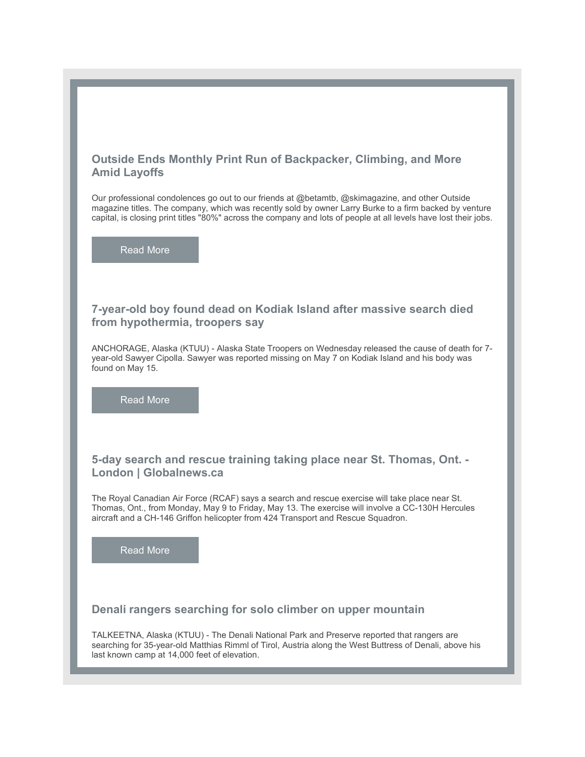## **Outside Ends Monthly Print Run of Backpacker, Climbing, and More Amid Layoffs**

Our professional condolences go out to our friends at @betamtb, @skimagazine, and other Outside magazine titles. The company, which was recently sold by owner Larry Burke to a firm backed by venture capital, is closing print titles "80%" across the company and lots of people at all levels have lost their jobs.

[Read](https://r20.rs6.net/tn.jsp?f=0012Wjh5Fs_RKOreeNRqXYkregu8NJ8KOeU-arMrpmWX6QIcoA49eZ_deYHR_OIBWbpVm5rqXRNuNplbgKVIC9vf58dGZTDB4smh06lTyrXaMCsvpdKYVyGqgjaZwL41iw-r5iVUwAHY18OBb3wDuUOvC7LKQziQamMkpx1P6_guxDpRgFvUb1or92ZFaP3cLY7YnpeU0zx4ZYkcfwscuwMHsG-sXJmhyIICZ-LpBOUu9XulCS5oRCYQDjMHnBY3jmmPvsFf41BNHJh0O8RH_XcDw==&c=xnpHDNnlKMdYgVN1PEw2HBr5HO7UIpJzseUyh-ccQioAtGd5-ccXfg==&ch=eHVReOFb-4euM5bqBkkoAjOwlnyIUwt1VnbDsIsF-9BfgY5he_RYBQ==) More

## **7-year-old boy found dead on Kodiak Island after massive search died from hypothermia, troopers say**

ANCHORAGE, Alaska (KTUU) - Alaska State Troopers on Wednesday released the cause of death for 7year-old Sawyer Cipolla. Sawyer was reported missing on May 7 on Kodiak Island and his body was found on May 15.

[Read](https://r20.rs6.net/tn.jsp?f=0012Wjh5Fs_RKOreeNRqXYkregu8NJ8KOeU-arMrpmWX6QIcoA49eZ_deYHR_OIBWbpdLq88ggkkKl7UTNi036RXjIPnCjs2X6UXCE3v_W4z9bJysqoPitkD_qPMpCHjMBICmig0f1YU5HL4r-JwXe3N_Xj6x8BlPFc9nYOX8mv9IfhHvNADIJGHP8wR_KR0C8Q7nmKQ3rgAenLWZbkcyZ2Dj9moOCEQE1tlyEFVH8-ynnzhpwQI6NIRLjdyrMJLvm0QeIJOBRm1Iewm6sFRE8gOlud8yaxbLbo3ZvrCwAseIPI7QaqSNtkBA==&c=xnpHDNnlKMdYgVN1PEw2HBr5HO7UIpJzseUyh-ccQioAtGd5-ccXfg==&ch=eHVReOFb-4euM5bqBkkoAjOwlnyIUwt1VnbDsIsF-9BfgY5he_RYBQ==) More

## **5-day search and rescue training taking place near St. Thomas, Ont. - London | Globalnews.ca**

The Royal Canadian Air Force (RCAF) says a search and rescue exercise will take place near St. Thomas, Ont., from Monday, May 9 to Friday, May 13. The exercise will involve a CC-130H Hercules aircraft and a CH-146 Griffon helicopter from 424 Transport and Rescue Squadron.

[Read](https://r20.rs6.net/tn.jsp?f=0012Wjh5Fs_RKOreeNRqXYkregu8NJ8KOeU-arMrpmWX6QIcoA49eZ_deYHR_OIBWbp2en4Pl1ME5MZCdc4xVo2XuwSndovmNkCRTDZgda_yB3gk6peAcz4KV2aeV_h3kbwL9oJdQgUn5X7WcInfiJ7m6pMJU7ofL3jz_iat9esbDqPP-jqB15eqmXxZmIurwO02JaSTkA-iCI4XvAg6HidZQ==&c=xnpHDNnlKMdYgVN1PEw2HBr5HO7UIpJzseUyh-ccQioAtGd5-ccXfg==&ch=eHVReOFb-4euM5bqBkkoAjOwlnyIUwt1VnbDsIsF-9BfgY5he_RYBQ==) More

## **Denali rangers searching for solo climber on upper mountain**

TALKEETNA, Alaska (KTUU) - The Denali National Park and Preserve reported that rangers are searching for 35-year-old Matthias Rimml of Tirol, Austria along the West Buttress of Denali, above his last known camp at 14,000 feet of elevation.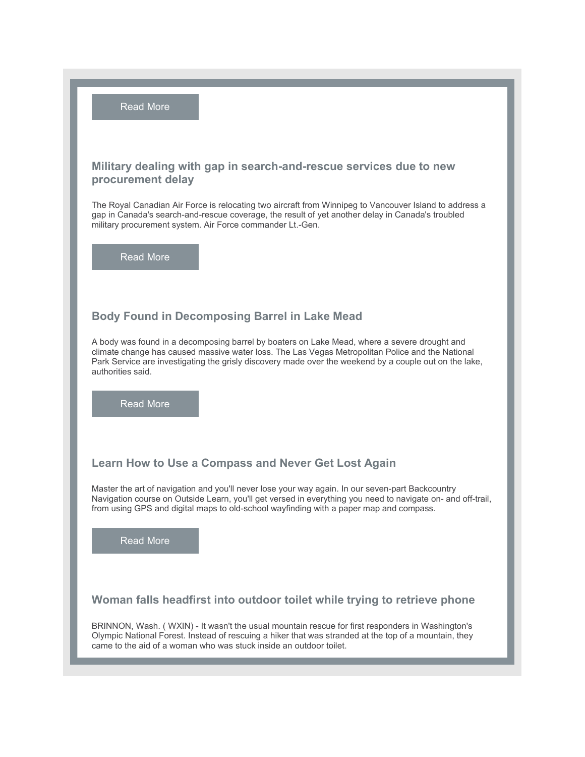[Read](https://r20.rs6.net/tn.jsp?f=0012Wjh5Fs_RKOreeNRqXYkregu8NJ8KOeU-arMrpmWX6QIcoA49eZ_deYHR_OIBWbpGtPXzLZoqARZnLv54l_8jHQ_a9V8IdxenpXQeeanf06KiMzvnWSbpTSpRFp-YBzlR3z7twm-XyB9hdOTRLSsC-aAmZXQjJo-s3KI06JNTS1YFqhE3vmtmEnvNA_zFaWZeShCVE03vlR4vOwzl9hFH5uxnVK3JinuhaC_w7RLBvaVTzo623Ya-0_oX10zYu9r&c=xnpHDNnlKMdYgVN1PEw2HBr5HO7UIpJzseUyh-ccQioAtGd5-ccXfg==&ch=eHVReOFb-4euM5bqBkkoAjOwlnyIUwt1VnbDsIsF-9BfgY5he_RYBQ==) More

## **Military dealing with gap in search-and-rescue services due to new procurement delay**

The Royal Canadian Air Force is relocating two aircraft from Winnipeg to Vancouver Island to address a gap in Canada's search-and-rescue coverage, the result of yet another delay in Canada's troubled military procurement system. Air Force commander Lt.-Gen.

[Read](https://r20.rs6.net/tn.jsp?f=0012Wjh5Fs_RKOreeNRqXYkregu8NJ8KOeU-arMrpmWX6QIcoA49eZ_deYHR_OIBWbpPHqD7chhuewch-ImPn7hKfijWmOkilpArWlMQddXlXslbg3SQJPZ07-sH88URdsaRIEuT-eQgmLdfIXT2wc1GGKFOOmw9GniXSwzf7bqiyBN4pnbVSqmWfkeOcgbpQEnmomoVkHxPp3XG8X4KWC4nh6FCsETMC2bNIP2cme-yyrIwh_S4ZEa7J7r-fwbw8MeOZVMocnj0X4=&c=xnpHDNnlKMdYgVN1PEw2HBr5HO7UIpJzseUyh-ccQioAtGd5-ccXfg==&ch=eHVReOFb-4euM5bqBkkoAjOwlnyIUwt1VnbDsIsF-9BfgY5he_RYBQ==) More

## **Body Found in Decomposing Barrel in Lake Mead**

A body was found in a decomposing barrel by boaters on Lake Mead, where a severe drought and climate change has caused massive water loss. The Las Vegas Metropolitan Police and the National Park Service are investigating the grisly discovery made over the weekend by a couple out on the lake, authorities said.

[Read](https://r20.rs6.net/tn.jsp?f=0012Wjh5Fs_RKOreeNRqXYkregu8NJ8KOeU-arMrpmWX6QIcoA49eZ_deYHR_OIBWbp4NAm2pBXUQAxIx9YsbjH_tiXBIk9I8NQO-j-ALxtgmpm-3_HOqHD9zJHwtZYO1rXxRZA8reCISj5h5Xz3_JB6aWh_G1aBQxFctn4DAF9bXBVPpKT_ROwsjAIMMCSdWml-VGMn0WmrST8sorGTSJGP2_XAhLaOVgqwngKgYEI_qK4kA92EuVvs8C7CvCnCMtSWdxUmDp_3WY=&c=xnpHDNnlKMdYgVN1PEw2HBr5HO7UIpJzseUyh-ccQioAtGd5-ccXfg==&ch=eHVReOFb-4euM5bqBkkoAjOwlnyIUwt1VnbDsIsF-9BfgY5he_RYBQ==) More

## **Learn How to Use aCompass and Never Get Lost Again**

Master the art of navigation and you'll never lose your way again. In our seven-part Backcountry Navigation course on Outside Learn, you'll get versed in everything you need to navigate on- and off-trail, from using GPS and digital maps to old-school wayfinding with a paper map and compass.

[Read](https://r20.rs6.net/tn.jsp?f=0012Wjh5Fs_RKOreeNRqXYkregu8NJ8KOeU-arMrpmWX6QIcoA49eZ_deYHR_OIBWbplD4SXAx0optobT8MV_Z_haa5-WBn1dTjE_-oyJRFoYwk8VzUAtAnLyEflYOQQJunsNXpGrWYPlhhn8xSo7xvRctJI46Q7sqhiknWrl0NXAyqasg_SPZ-yXEqFwcXcT55oiHHYBrcKh-CJnv8B_KwhXMqYnIa6BJhGnKkfO1KxFlW0L0JZ74dkg==&c=xnpHDNnlKMdYgVN1PEw2HBr5HO7UIpJzseUyh-ccQioAtGd5-ccXfg==&ch=eHVReOFb-4euM5bqBkkoAjOwlnyIUwt1VnbDsIsF-9BfgY5he_RYBQ==) More

## **Woman falls headfirst into outdoor toilet while trying to retrieve phone**

BRINNON, Wash. ( WXIN) - It wasn't the usual mountain rescue for first responders in Washington's Olympic National Forest. Instead of rescuing a hiker that was stranded at the top of a mountain, they came to the aid of a woman who was stuck inside an outdoor toilet.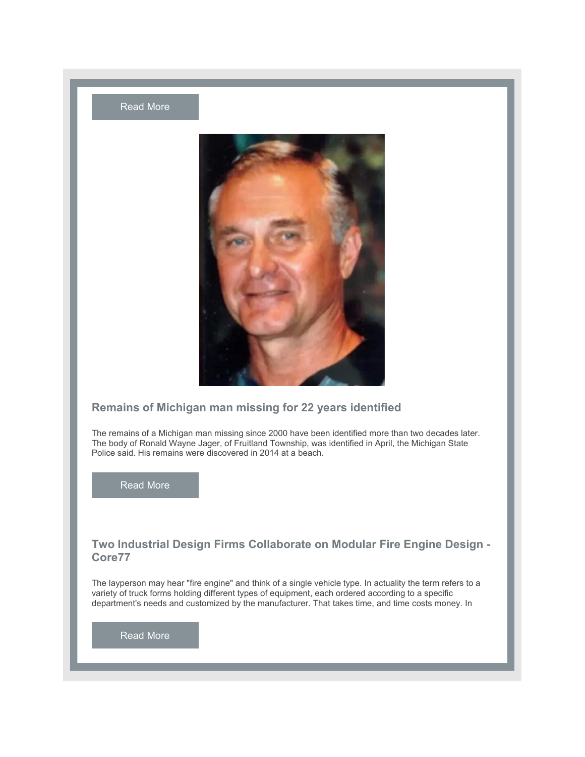



## **Remains of Michigan man missing for 22 years identified**

The remains of a Michigan man missing since 2000 have been identified more than two decades later. The body of Ronald Wayne Jager, of Fruitland Township, was identified in April, the Michigan State Police said. His remains were discovered in 2014 at a beach.

[Read](https://r20.rs6.net/tn.jsp?f=0012Wjh5Fs_RKOreeNRqXYkregu8NJ8KOeU-arMrpmWX6QIcoA49eZ_deYHR_OIBWbpRh1hCarKz8F8TKwZA9_VOqHic0oJ4cTc2fqaVfGi8gcsZ_IG7ggK7nKGbzlPgWU0hOnCHd_9fGHPrgWmWN2Hgm496F78Fhp9QyJmh5DQ9ZfScds0bl9PEg==&c=xnpHDNnlKMdYgVN1PEw2HBr5HO7UIpJzseUyh-ccQioAtGd5-ccXfg==&ch=eHVReOFb-4euM5bqBkkoAjOwlnyIUwt1VnbDsIsF-9BfgY5he_RYBQ==) More

# **Two Industrial Design Firms Collaborate on ModularFire Engine Design -Core77**

The layperson may hear "fire engine" and think of a single vehicle type. In actuality the term refers to a variety of truck forms holding different types of equipment, each ordered according to a specific department's needs and customized by the manufacturer. That takes time, and time costs money. In

[Read](https://r20.rs6.net/tn.jsp?f=0012Wjh5Fs_RKOreeNRqXYkregu8NJ8KOeU-arMrpmWX6QIcoA49eZ_deYHR_OIBWbpCXXTznRLoAEHsSU155gOT3YLsy16nA6osLYaAOejsWzuhYgBLz42kBFWtokZLIKODbKoUcIyMpHbzMiF5lC4Gg-E4xc0hxKyhRbrWRzsKrN_0D-iNoQCkWMNKrxXfI63qKJc19Xy0YB5SFC1WjHdVXhj8E5yp3VKG6oK-tIM2p3hFkAcwQDavsMzMV1lOESq0Gp5nWnQUPwbApb8AuLbaZwVTGkfrx0q0v-lgmFP01eTex2gefJ5qmbiI2ECeDHq&c=xnpHDNnlKMdYgVN1PEw2HBr5HO7UIpJzseUyh-ccQioAtGd5-ccXfg==&ch=eHVReOFb-4euM5bqBkkoAjOwlnyIUwt1VnbDsIsF-9BfgY5he_RYBQ==) More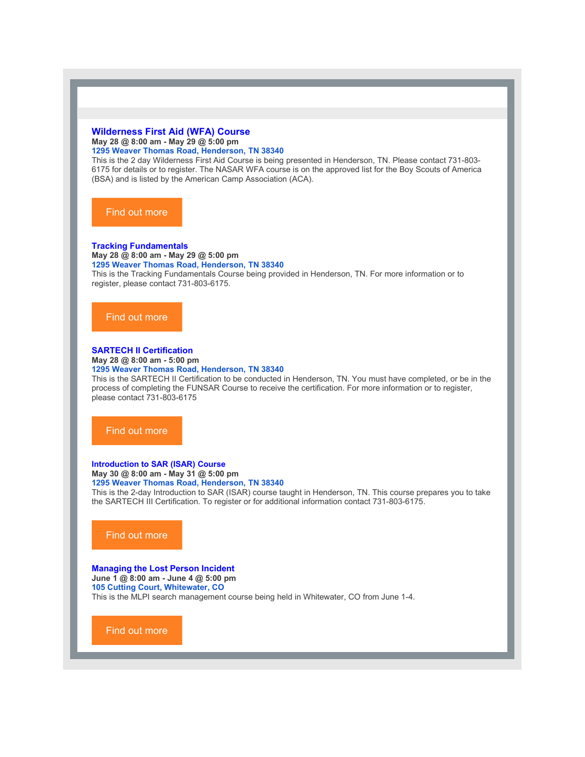#### **[Wilderness](https://r20.rs6.net/tn.jsp?f=0012Wjh5Fs_RKOreeNRqXYkregu8NJ8KOeU-arMrpmWX6QIcoA49eZ_deYHR_OIBWbpzKZzssCSdHlE4zyJDwv_GSI5mb3xzufVW8RH-K9J7GZzxazRALh6UYjEI9O8F07DDgx5CGxR76oaVxbaGqal-XLuEA8vG2Q66S_vgtFmE8pNsK_HzJSHzBcPLLfORHep&c=xnpHDNnlKMdYgVN1PEw2HBr5HO7UIpJzseUyh-ccQioAtGd5-ccXfg==&ch=eHVReOFb-4euM5bqBkkoAjOwlnyIUwt1VnbDsIsF-9BfgY5he_RYBQ==) First Aid (WFA) Course May 28 @ 8:00 am - May 29 @ 5:00 pm 1295 Weaver [Thomas](https://www.google.com/maps/search/1295+Weaver+Thomas+Road,+Henderson,+TN+38340?entry=gmail&source=g) Road, [Henderson,](https://www.google.com/maps/search/1295+Weaver+Thomas+Road,+Henderson,+TN+38340?entry=gmail&source=g) [TN](https://www.google.com/maps/search/1295+Weaver+Thomas+Road,+Henderson,+TN+38340?entry=gmail&source=g) [38340](https://www.google.com/maps/search/1295+Weaver+Thomas+Road,+Henderson,+TN+38340?entry=gmail&source=g)**

This is the 2 day Wilderness First Aid Course isbeing presented in Henderson, TN. Please contact 731-803- 6175 for details or to register. The NASAR WFA course is on the approved list for the Boy Scouts of America (BSA) and is listed by the American Camp Association (ACA).

#### Find out [more](https://r20.rs6.net/tn.jsp?f=0012Wjh5Fs_RKOreeNRqXYkregu8NJ8KOeU-arMrpmWX6QIcoA49eZ_deYHR_OIBWbpzKZzssCSdHlE4zyJDwv_GSI5mb3xzufVW8RH-K9J7GZzxazRALh6UYjEI9O8F07DDgx5CGxR76oaVxbaGqal-XLuEA8vG2Q66S_vgtFmE8pNsK_HzJSHzBcPLLfORHep&c=xnpHDNnlKMdYgVN1PEw2HBr5HO7UIpJzseUyh-ccQioAtGd5-ccXfg==&ch=eHVReOFb-4euM5bqBkkoAjOwlnyIUwt1VnbDsIsF-9BfgY5he_RYBQ==)

#### **Tracking [Fundamentals](https://r20.rs6.net/tn.jsp?f=0012Wjh5Fs_RKOreeNRqXYkregu8NJ8KOeU-arMrpmWX6QIcoA49eZ_deYHR_OIBWbpS60QFBuoiGlMLwb87MBP6AOOjroD3FRnrq-y3zltlb4wfnr6-p5h1tqq6XUjuuIoaxe082GOHtnHJciB2UOWstAchddpFh9XQZKMc8AElnrpLAetmDEvmQ==&c=xnpHDNnlKMdYgVN1PEw2HBr5HO7UIpJzseUyh-ccQioAtGd5-ccXfg==&ch=eHVReOFb-4euM5bqBkkoAjOwlnyIUwt1VnbDsIsF-9BfgY5he_RYBQ==)**

**May 28 @ 8:00 am - May 29 @ 5:00 pm**

**1295 Weaver [Thomas](https://www.google.com/maps/search/1295+Weaver+Thomas+Road,+Henderson,+TN+38340?entry=gmail&source=g) Road, [Henderson,](https://www.google.com/maps/search/1295+Weaver+Thomas+Road,+Henderson,+TN+38340?entry=gmail&source=g) [TN](https://www.google.com/maps/search/1295+Weaver+Thomas+Road,+Henderson,+TN+38340?entry=gmail&source=g) [38340](https://www.google.com/maps/search/1295+Weaver+Thomas+Road,+Henderson,+TN+38340?entry=gmail&source=g)** This is the Tracking Fundamentals Course being provided in Henderson, TN. For more information or to register, please contact 731-803-6175.

#### Find out [more](https://r20.rs6.net/tn.jsp?f=0012Wjh5Fs_RKOreeNRqXYkregu8NJ8KOeU-arMrpmWX6QIcoA49eZ_deYHR_OIBWbpS60QFBuoiGlMLwb87MBP6AOOjroD3FRnrq-y3zltlb4wfnr6-p5h1tqq6XUjuuIoaxe082GOHtnHJciB2UOWstAchddpFh9XQZKMc8AElnrpLAetmDEvmQ==&c=xnpHDNnlKMdYgVN1PEw2HBr5HO7UIpJzseUyh-ccQioAtGd5-ccXfg==&ch=eHVReOFb-4euM5bqBkkoAjOwlnyIUwt1VnbDsIsF-9BfgY5he_RYBQ==)

## **SARTECH II [Certification](https://r20.rs6.net/tn.jsp?f=0012Wjh5Fs_RKOreeNRqXYkregu8NJ8KOeU-arMrpmWX6QIcoA49eZ_deYHR_OIBWbpABHwatJryxvOJT_9oZUMD9Q4K6mlGqWXaWsi69MBDgBQi2L4zuPzNT63TNUlbUTFlPrdieBZluYsXapcxmRS0EuCkpnqWgPQDjPHhhSEKRUSGwASRGQFhZ40gP6EXwx4&c=xnpHDNnlKMdYgVN1PEw2HBr5HO7UIpJzseUyh-ccQioAtGd5-ccXfg==&ch=eHVReOFb-4euM5bqBkkoAjOwlnyIUwt1VnbDsIsF-9BfgY5he_RYBQ==)**

**May 28 @ 8:00 am - 5:00 pm**

#### **1295 Weaver [Thomas](https://www.google.com/maps/search/1295+Weaver+Thomas+Road,+Henderson,+TN+38340?entry=gmail&source=g) Road, [Henderson,](https://www.google.com/maps/search/1295+Weaver+Thomas+Road,+Henderson,+TN+38340?entry=gmail&source=g) [TN](https://www.google.com/maps/search/1295+Weaver+Thomas+Road,+Henderson,+TN+38340?entry=gmail&source=g) [38340](https://www.google.com/maps/search/1295+Weaver+Thomas+Road,+Henderson,+TN+38340?entry=gmail&source=g)**

This is the SARTECH II Certification to be conducted in Henderson, TN. You must have completed, or be in the process of completing the FUNSAR Course to receive the certification. For more information or to register, please contact 731-803-6175

#### Find out [more](https://r20.rs6.net/tn.jsp?f=0012Wjh5Fs_RKOreeNRqXYkregu8NJ8KOeU-arMrpmWX6QIcoA49eZ_deYHR_OIBWbpABHwatJryxvOJT_9oZUMD9Q4K6mlGqWXaWsi69MBDgBQi2L4zuPzNT63TNUlbUTFlPrdieBZluYsXapcxmRS0EuCkpnqWgPQDjPHhhSEKRUSGwASRGQFhZ40gP6EXwx4&c=xnpHDNnlKMdYgVN1PEw2HBr5HO7UIpJzseUyh-ccQioAtGd5-ccXfg==&ch=eHVReOFb-4euM5bqBkkoAjOwlnyIUwt1VnbDsIsF-9BfgY5he_RYBQ==)

#### **[Introduction](https://r20.rs6.net/tn.jsp?f=0012Wjh5Fs_RKOreeNRqXYkregu8NJ8KOeU-arMrpmWX6QIcoA49eZ_deYHR_OIBWbpvlasFB6tt3Zecaempgdl1M9Vhk8Ai125hGZ5XlReliNpuetq0hk0wvBuFYK-PLR5A5MYb8Ve5bpwzFPNbIjMiF0QOyUbZb99d1_7FYOJVTZtTzFsKJfAO0M78ocFyHo_yzVVPIY2Dfg=&c=xnpHDNnlKMdYgVN1PEw2HBr5HO7UIpJzseUyh-ccQioAtGd5-ccXfg==&ch=eHVReOFb-4euM5bqBkkoAjOwlnyIUwt1VnbDsIsF-9BfgY5he_RYBQ==) to SAR (ISAR) Course May 30 @ 8:00 am - May 31 @ 5:00 pm 1295 Weaver [Thomas](https://www.google.com/maps/search/1295+Weaver+Thomas+Road,+Henderson,+TN+38340?entry=gmail&source=g) Road, [Henderson,](https://www.google.com/maps/search/1295+Weaver+Thomas+Road,+Henderson,+TN+38340?entry=gmail&source=g) [TN](https://www.google.com/maps/search/1295+Weaver+Thomas+Road,+Henderson,+TN+38340?entry=gmail&source=g) [38340](https://www.google.com/maps/search/1295+Weaver+Thomas+Road,+Henderson,+TN+38340?entry=gmail&source=g)**

This is the 2-day Introduction to SAR (ISAR) course taught in Henderson, TN. This course prepares you to take the SARTECH III Certification. To register or for additional information contact 731-803-6175.

#### Find out [more](https://r20.rs6.net/tn.jsp?f=0012Wjh5Fs_RKOreeNRqXYkregu8NJ8KOeU-arMrpmWX6QIcoA49eZ_deYHR_OIBWbpvlasFB6tt3Zecaempgdl1M9Vhk8Ai125hGZ5XlReliNpuetq0hk0wvBuFYK-PLR5A5MYb8Ve5bpwzFPNbIjMiF0QOyUbZb99d1_7FYOJVTZtTzFsKJfAO0M78ocFyHo_yzVVPIY2Dfg=&c=xnpHDNnlKMdYgVN1PEw2HBr5HO7UIpJzseUyh-ccQioAtGd5-ccXfg==&ch=eHVReOFb-4euM5bqBkkoAjOwlnyIUwt1VnbDsIsF-9BfgY5he_RYBQ==)

## **[Managing](https://r20.rs6.net/tn.jsp?f=0012Wjh5Fs_RKOreeNRqXYkregu8NJ8KOeU-arMrpmWX6QIcoA49eZ_deYHR_OIBWbp8FUwfMK2Y9q3qeC6OeP20q9L8yobJegsc8YZ4Wyn-nQ30zfow2JobgHLVDc06RxqPcxa9Xp5wvpVwBMif6GXBxPK35i8sLgf_57VhjoRLZ_UV58RWXGrss1ZWL3jztoC&c=xnpHDNnlKMdYgVN1PEw2HBr5HO7UIpJzseUyh-ccQioAtGd5-ccXfg==&ch=eHVReOFb-4euM5bqBkkoAjOwlnyIUwt1VnbDsIsF-9BfgY5he_RYBQ==) the Lost Person Incident**

**June 1 @ 8:00 am - June 4 @ 5:00 pm 105 [Cutting](https://www.google.com/maps/search/105+Cutting+Court,+Whitewater,+CO?entry=gmail&source=g) Court, [Whitewater,](https://www.google.com/maps/search/105+Cutting+Court,+Whitewater,+CO?entry=gmail&source=g) [CO](https://www.google.com/maps/search/105+Cutting+Court,+Whitewater,+CO?entry=gmail&source=g)** This is the MLPI search management course being held in Whitewater, CO from June 1-4.

Find out [more](https://r20.rs6.net/tn.jsp?f=0012Wjh5Fs_RKOreeNRqXYkregu8NJ8KOeU-arMrpmWX6QIcoA49eZ_deYHR_OIBWbp8FUwfMK2Y9q3qeC6OeP20q9L8yobJegsc8YZ4Wyn-nQ30zfow2JobgHLVDc06RxqPcxa9Xp5wvpVwBMif6GXBxPK35i8sLgf_57VhjoRLZ_UV58RWXGrss1ZWL3jztoC&c=xnpHDNnlKMdYgVN1PEw2HBr5HO7UIpJzseUyh-ccQioAtGd5-ccXfg==&ch=eHVReOFb-4euM5bqBkkoAjOwlnyIUwt1VnbDsIsF-9BfgY5he_RYBQ==)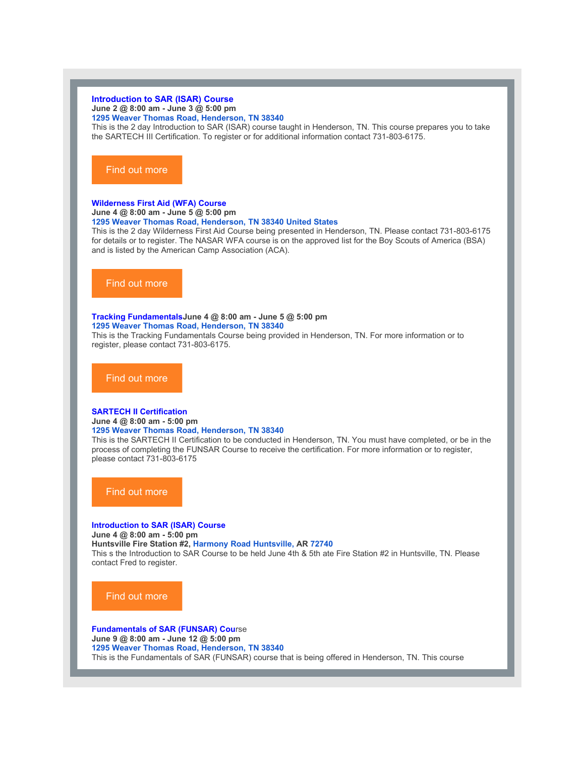#### **[Introduction](https://r20.rs6.net/tn.jsp?f=0012Wjh5Fs_RKOreeNRqXYkregu8NJ8KOeU-arMrpmWX6QIcoA49eZ_deYHR_OIBWbpNVYz0d-E428cAsAtFD-0INdCWrelTFYF93D2arOMB9BTVpB6FmUdo9ALzMtNcKJH9EW82lSLlOd94TSvwfoed4GYXAqjcDsuXW92z1_V1kb2BqLRwMz-4qVc3q5mMweJ4KTDEHqZ0Zk=&c=xnpHDNnlKMdYgVN1PEw2HBr5HO7UIpJzseUyh-ccQioAtGd5-ccXfg==&ch=eHVReOFb-4euM5bqBkkoAjOwlnyIUwt1VnbDsIsF-9BfgY5he_RYBQ==) to SAR (ISAR) Course June 2 @ 8:00 am - June 3 @ 5:00 pm 1295 Weaver Thomas Road, [Henderson,](https://www.google.com/maps/search/1295+Weaver+Thomas+Road,+Henderson,+TN+38340?entry=gmail&source=g) [TN](https://www.google.com/maps/search/1295+Weaver+Thomas+Road,+Henderson,+TN+38340?entry=gmail&source=g) [38340](https://www.google.com/maps/search/1295+Weaver+Thomas+Road,+Henderson,+TN+38340?entry=gmail&source=g)**

This is the 2 day Introduction to SAR (ISAR) course taught in Henderson, TN. This course prepares you to take the SARTECH III Certification. To register or for additional information contact 731-803-6175.

#### Find out [more](https://r20.rs6.net/tn.jsp?f=0012Wjh5Fs_RKOreeNRqXYkregu8NJ8KOeU-arMrpmWX6QIcoA49eZ_deYHR_OIBWbpNVYz0d-E428cAsAtFD-0INdCWrelTFYF93D2arOMB9BTVpB6FmUdo9ALzMtNcKJH9EW82lSLlOd94TSvwfoed4GYXAqjcDsuXW92z1_V1kb2BqLRwMz-4qVc3q5mMweJ4KTDEHqZ0Zk=&c=xnpHDNnlKMdYgVN1PEw2HBr5HO7UIpJzseUyh-ccQioAtGd5-ccXfg==&ch=eHVReOFb-4euM5bqBkkoAjOwlnyIUwt1VnbDsIsF-9BfgY5he_RYBQ==)

#### **[Wilderness](https://r20.rs6.net/tn.jsp?f=0012Wjh5Fs_RKOreeNRqXYkregu8NJ8KOeU-arMrpmWX6QIcoA49eZ_deYHR_OIBWbpAuOGRT4pXNb8iL3UDGFO3oD7J96GtTCYG6Ai8m44XkYSncw6Y39otBrzJ54dzk0rpTv8oHvGyNjLzi0DwgTP5unnqil_Exv_lLgQnPH2pZa5Powc7Ed1uy6ppYI98CDQvosF-Df34MY=&c=xnpHDNnlKMdYgVN1PEw2HBr5HO7UIpJzseUyh-ccQioAtGd5-ccXfg==&ch=eHVReOFb-4euM5bqBkkoAjOwlnyIUwt1VnbDsIsF-9BfgY5he_RYBQ==) First Aid (WFA) Course June 4 @ 8:00 am - June 5 @ 5:00 pm**

#### **1295 Weaver [Thomas](https://www.google.com/maps/search/1295+Weaver+Thomas+Road,+Henderson,+TN+38340+United+States?entry=gmail&source=g) Road, [Henderson,](https://www.google.com/maps/search/1295+Weaver+Thomas+Road,+Henderson,+TN+38340+United+States?entry=gmail&source=g) [TN](https://www.google.com/maps/search/1295+Weaver+Thomas+Road,+Henderson,+TN+38340+United+States?entry=gmail&source=g) [38340](https://www.google.com/maps/search/1295+Weaver+Thomas+Road,+Henderson,+TN+38340+United+States?entry=gmail&source=g) [United](https://www.google.com/maps/search/1295+Weaver+Thomas+Road,+Henderson,+TN+38340+United+States?entry=gmail&source=g) States**

This is the 2 day Wilderness First Aid Course being presented in Henderson, TN. Please contact 731-803-6175 for details or to register. The NASAR WFA course is on the approved list for the Boy Scouts of America (BSA) and is listed by the American Camp Association (ACA).

#### Find out [more](https://r20.rs6.net/tn.jsp?f=0012Wjh5Fs_RKOreeNRqXYkregu8NJ8KOeU-arMrpmWX6QIcoA49eZ_deYHR_OIBWbpAuOGRT4pXNb8iL3UDGFO3oD7J96GtTCYG6Ai8m44XkYSncw6Y39otBrzJ54dzk0rpTv8oHvGyNjLzi0DwgTP5unnqil_Exv_lLgQnPH2pZa5Powc7Ed1uy6ppYI98CDQvosF-Df34MY=&c=xnpHDNnlKMdYgVN1PEw2HBr5HO7UIpJzseUyh-ccQioAtGd5-ccXfg==&ch=eHVReOFb-4euM5bqBkkoAjOwlnyIUwt1VnbDsIsF-9BfgY5he_RYBQ==)

#### **Tracking [Fundamentals](https://r20.rs6.net/tn.jsp?f=0012Wjh5Fs_RKOreeNRqXYkregu8NJ8KOeU-arMrpmWX6QIcoA49eZ_deYHR_OIBWbpNKaGuB0FsSLI0l42-jEAz61AdN3g9M3FmRmjhQjLtEVwiheKq7ukOU0c-wWrFsJq0RBZmLB0Vm9-U5oiI0Gf49Ld1GbKkJyqdjw49i7n_BAUNKtj91ZBTA==&c=xnpHDNnlKMdYgVN1PEw2HBr5HO7UIpJzseUyh-ccQioAtGd5-ccXfg==&ch=eHVReOFb-4euM5bqBkkoAjOwlnyIUwt1VnbDsIsF-9BfgY5he_RYBQ==)June 4 @ 8:00 am - June 5 @ 5:00 pm**

**1295 Weaver [Thomas](https://www.google.com/maps/search/1295+Weaver+Thomas+Road,+Henderson,+TN+38340?entry=gmail&source=g) Road, [Henderson,](https://www.google.com/maps/search/1295+Weaver+Thomas+Road,+Henderson,+TN+38340?entry=gmail&source=g) [TN](https://www.google.com/maps/search/1295+Weaver+Thomas+Road,+Henderson,+TN+38340?entry=gmail&source=g) [38340](https://www.google.com/maps/search/1295+Weaver+Thomas+Road,+Henderson,+TN+38340?entry=gmail&source=g)**

This is the Tracking Fundamentals Course being provided in Henderson, TN. For more information or to register, please contact 731-803-6175.

Find out [more](https://r20.rs6.net/tn.jsp?f=0012Wjh5Fs_RKOreeNRqXYkregu8NJ8KOeU-arMrpmWX6QIcoA49eZ_deYHR_OIBWbpNKaGuB0FsSLI0l42-jEAz61AdN3g9M3FmRmjhQjLtEVwiheKq7ukOU0c-wWrFsJq0RBZmLB0Vm9-U5oiI0Gf49Ld1GbKkJyqdjw49i7n_BAUNKtj91ZBTA==&c=xnpHDNnlKMdYgVN1PEw2HBr5HO7UIpJzseUyh-ccQioAtGd5-ccXfg==&ch=eHVReOFb-4euM5bqBkkoAjOwlnyIUwt1VnbDsIsF-9BfgY5he_RYBQ==)

#### **SARTECH II [Certification](https://r20.rs6.net/tn.jsp?f=0012Wjh5Fs_RKOreeNRqXYkregu8NJ8KOeU-arMrpmWX6QIcoA49eZ_deYHR_OIBWbpjpmCoyIFpsneF0ONgS0ybh5sRpW2boIRXjsQN_3rt2djR0N4yg1fVliLHDe8ncX_ULNU70sVT1fccKs4d1JheEe9EcnTw2oZ2SmKzuJhfA7M4ZYwTDi0g0irs1zkq9E7&c=xnpHDNnlKMdYgVN1PEw2HBr5HO7UIpJzseUyh-ccQioAtGd5-ccXfg==&ch=eHVReOFb-4euM5bqBkkoAjOwlnyIUwt1VnbDsIsF-9BfgY5he_RYBQ==)**

#### **June 4 @ 8:00 am - 5:00 pm**

#### **1295 Weaver [Thomas](https://www.google.com/maps/search/1295+Weaver+Thomas+Road,+Henderson,+TN+38340?entry=gmail&source=g) Road, [Henderson,](https://www.google.com/maps/search/1295+Weaver+Thomas+Road,+Henderson,+TN+38340?entry=gmail&source=g) [TN](https://www.google.com/maps/search/1295+Weaver+Thomas+Road,+Henderson,+TN+38340?entry=gmail&source=g) [38340](https://www.google.com/maps/search/1295+Weaver+Thomas+Road,+Henderson,+TN+38340?entry=gmail&source=g)**

This is the SARTECH II Certification to be conducted in Henderson, TN. You must have completed, or be in the process of completing the FUNSAR Course to receive the certification. For more information or to register, please contact 731-803-6175

Find out [more](https://r20.rs6.net/tn.jsp?f=0012Wjh5Fs_RKOreeNRqXYkregu8NJ8KOeU-arMrpmWX6QIcoA49eZ_deYHR_OIBWbpjpmCoyIFpsneF0ONgS0ybh5sRpW2boIRXjsQN_3rt2djR0N4yg1fVliLHDe8ncX_ULNU70sVT1fccKs4d1JheEe9EcnTw2oZ2SmKzuJhfA7M4ZYwTDi0g0irs1zkq9E7&c=xnpHDNnlKMdYgVN1PEw2HBr5HO7UIpJzseUyh-ccQioAtGd5-ccXfg==&ch=eHVReOFb-4euM5bqBkkoAjOwlnyIUwt1VnbDsIsF-9BfgY5he_RYBQ==)

#### **[Introduction](https://r20.rs6.net/tn.jsp?f=0012Wjh5Fs_RKOreeNRqXYkregu8NJ8KOeU-arMrpmWX6QIcoA49eZ_deYHR_OIBWbpAJ1-n18Nbllpovn9JNKpUNi10nbeR3nlD_-9BVPiJVfRiI66nO8zrgpK1P52lRFDYrs4E3hOdi4j_KeCXiaFqu3y-IvbQjqxxjWmjDZzM8P8t52JteAvX8WGD8xABuEwNBA3wqx8adM=&c=xnpHDNnlKMdYgVN1PEw2HBr5HO7UIpJzseUyh-ccQioAtGd5-ccXfg==&ch=eHVReOFb-4euM5bqBkkoAjOwlnyIUwt1VnbDsIsF-9BfgY5he_RYBQ==) to SAR (ISAR) Course June 4 @ 8:00 am - 5:00 pm Huntsville Fire Station #2, Harmony Road [Huntsville,](https://www.google.com/maps/search/Harmony+Road+Huntsville,+AR+72740?entry=gmail&source=g) AR [72740](https://www.google.com/maps/search/Harmony+Road+Huntsville,+AR+72740?entry=gmail&source=g)** This s the Introduction to SAR Course to be held June 4th & 5th ate Fire Station #2 in Huntsville, TN. Please contact Fred to register.

#### Find out [more](https://r20.rs6.net/tn.jsp?f=0012Wjh5Fs_RKOreeNRqXYkregu8NJ8KOeU-arMrpmWX6QIcoA49eZ_deYHR_OIBWbpAJ1-n18Nbllpovn9JNKpUNi10nbeR3nlD_-9BVPiJVfRiI66nO8zrgpK1P52lRFDYrs4E3hOdi4j_KeCXiaFqu3y-IvbQjqxxjWmjDZzM8P8t52JteAvX8WGD8xABuEwNBA3wqx8adM=&c=xnpHDNnlKMdYgVN1PEw2HBr5HO7UIpJzseUyh-ccQioAtGd5-ccXfg==&ch=eHVReOFb-4euM5bqBkkoAjOwlnyIUwt1VnbDsIsF-9BfgY5he_RYBQ==)

**[Fundamentals](https://r20.rs6.net/tn.jsp?f=0012Wjh5Fs_RKOreeNRqXYkregu8NJ8KOeU-arMrpmWX6QIcoA49eZ_deYHR_OIBWbpUZftKzgHjTvkHJN8Vqyap8yk8hlCFppjnNw_tpGSMqAT8-VnCjLDjt0dPXzG540t6YbMjOhnNe1uZ-y_N8BsrskjqvdqGxvNpeuiCvxFlfIas8BiAvgK4wTQNSgkcSqPVXOsjZcQlvU=&c=xnpHDNnlKMdYgVN1PEw2HBr5HO7UIpJzseUyh-ccQioAtGd5-ccXfg==&ch=eHVReOFb-4euM5bqBkkoAjOwlnyIUwt1VnbDsIsF-9BfgY5he_RYBQ==) of SAR (FUNSAR) [Cou](https://r20.rs6.net/tn.jsp?f=0012Wjh5Fs_RKOreeNRqXYkregu8NJ8KOeU-arMrpmWX6QIcoA49eZ_deYHR_OIBWbpUZftKzgHjTvkHJN8Vqyap8yk8hlCFppjnNw_tpGSMqAT8-VnCjLDjt0dPXzG540t6YbMjOhnNe1uZ-y_N8BsrskjqvdqGxvNpeuiCvxFlfIas8BiAvgK4wTQNSgkcSqPVXOsjZcQlvU=&c=xnpHDNnlKMdYgVN1PEw2HBr5HO7UIpJzseUyh-ccQioAtGd5-ccXfg==&ch=eHVReOFb-4euM5bqBkkoAjOwlnyIUwt1VnbDsIsF-9BfgY5he_RYBQ==)**rse **June 9 @ 8:00 am - June 12 @ 5:00 pm 1295 Weaver [Thomas](https://www.google.com/maps/search/1295+Weaver+Thomas+Road,+Henderson,+TN+38340?entry=gmail&source=g) Road, [Henderson,](https://www.google.com/maps/search/1295+Weaver+Thomas+Road,+Henderson,+TN+38340?entry=gmail&source=g) [TN](https://www.google.com/maps/search/1295+Weaver+Thomas+Road,+Henderson,+TN+38340?entry=gmail&source=g) [38340](https://www.google.com/maps/search/1295+Weaver+Thomas+Road,+Henderson,+TN+38340?entry=gmail&source=g)** This is the Fundamentals of SAR (FUNSAR) course that is being offered in Henderson, TN. This course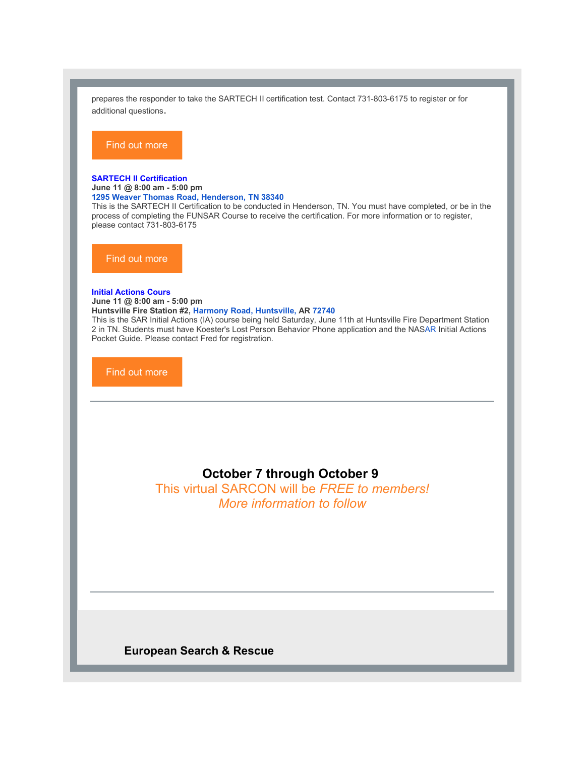prepares the responder to take the SARTECH II certification test. Contact 731-803-6175 to register or for additional questions.

#### Find out [more](https://r20.rs6.net/tn.jsp?f=0012Wjh5Fs_RKOreeNRqXYkregu8NJ8KOeU-arMrpmWX6QIcoA49eZ_deYHR_OIBWbpUZftKzgHjTvkHJN8Vqyap8yk8hlCFppjnNw_tpGSMqAT8-VnCjLDjt0dPXzG540t6YbMjOhnNe1uZ-y_N8BsrskjqvdqGxvNpeuiCvxFlfIas8BiAvgK4wTQNSgkcSqPVXOsjZcQlvU=&c=xnpHDNnlKMdYgVN1PEw2HBr5HO7UIpJzseUyh-ccQioAtGd5-ccXfg==&ch=eHVReOFb-4euM5bqBkkoAjOwlnyIUwt1VnbDsIsF-9BfgY5he_RYBQ==)

#### **SARTECH II [Certification](https://r20.rs6.net/tn.jsp?f=0012Wjh5Fs_RKOreeNRqXYkregu8NJ8KOeU-arMrpmWX6QIcoA49eZ_deYHR_OIBWbp8QF2sKABnJr_IFM6vr6HsxqjHnTMyEK9aA5iJTZuR-z9i81TFUhvcjtmml9YTAzhXtvf6vz0ibgZdch8I604qHS-lG6gMLViRTsH5VRYEAU75OTxlKfp-iHjOelyVeTB&c=xnpHDNnlKMdYgVN1PEw2HBr5HO7UIpJzseUyh-ccQioAtGd5-ccXfg==&ch=eHVReOFb-4euM5bqBkkoAjOwlnyIUwt1VnbDsIsF-9BfgY5he_RYBQ==)**

**June 11 @ 8:00 am - 5:00 pm**

**1295 Weaver [Thomas](https://www.google.com/maps/search/1295+Weaver+Thomas+Road,+Henderson,+TN+38340?entry=gmail&source=g) Road, [Henderson,](https://www.google.com/maps/search/1295+Weaver+Thomas+Road,+Henderson,+TN+38340?entry=gmail&source=g) [TN](https://www.google.com/maps/search/1295+Weaver+Thomas+Road,+Henderson,+TN+38340?entry=gmail&source=g) [38340](https://www.google.com/maps/search/1295+Weaver+Thomas+Road,+Henderson,+TN+38340?entry=gmail&source=g)**

This is the SARTECH II Certification to be conducted in Henderson, TN. You must have completed, or be in the process of completing the FUNSAR Course to receive the certification. For more information or to register, please contact 731-803-6175

Find out [more](https://r20.rs6.net/tn.jsp?f=0012Wjh5Fs_RKOreeNRqXYkregu8NJ8KOeU-arMrpmWX6QIcoA49eZ_deYHR_OIBWbp8QF2sKABnJr_IFM6vr6HsxqjHnTMyEK9aA5iJTZuR-z9i81TFUhvcjtmml9YTAzhXtvf6vz0ibgZdch8I604qHS-lG6gMLViRTsH5VRYEAU75OTxlKfp-iHjOelyVeTB&c=xnpHDNnlKMdYgVN1PEw2HBr5HO7UIpJzseUyh-ccQioAtGd5-ccXfg==&ch=eHVReOFb-4euM5bqBkkoAjOwlnyIUwt1VnbDsIsF-9BfgY5he_RYBQ==)

#### **Initial [Actions](https://r20.rs6.net/tn.jsp?f=0012Wjh5Fs_RKOreeNRqXYkregu8NJ8KOeU-arMrpmWX6QIcoA49eZ_deG2ayRB9AGzEgrV6yRo_7gDh51M3cMkEtQZekZGkqopcS2SyJdCCcsCX4sRj3gRvAVt6YlidWGMNipjvBZx2v9COrAc4Wfbk0pEnppy7iHwU9oHfLJIHRnsEnVMgUmEjg==&c=xnpHDNnlKMdYgVN1PEw2HBr5HO7UIpJzseUyh-ccQioAtGd5-ccXfg==&ch=eHVReOFb-4euM5bqBkkoAjOwlnyIUwt1VnbDsIsF-9BfgY5he_RYBQ==) Cours**

**June 11 @ 8:00 am - 5:00 pm Huntsville Fire Station #2, Harmony Road, [Huntsville,](https://www.google.com/maps/search/Harmony+Road,+Huntsville,+AR+72740?entry=gmail&source=g) AR [72740](https://www.google.com/maps/search/Harmony+Road,+Huntsville,+AR+72740?entry=gmail&source=g)** This is the SAR Initial Actions (IA) course being held Saturday, June 11th at Huntsville Fire Department Station 2 in TN. Students must have Koester's Lost Person Behavior Phone application and the NAS[AR](https://www.google.com/maps/search/Harmony+Road+Huntsville,+AR+72740?entry=gmail&source=g) Initial Actions Pocket Guide. Please contact Fred for registration.

Find out [more](https://r20.rs6.net/tn.jsp?f=0012Wjh5Fs_RKOreeNRqXYkregu8NJ8KOeU-arMrpmWX6QIcoA49eZ_deG2ayRB9AGzEgrV6yRo_7gDh51M3cMkEtQZekZGkqopcS2SyJdCCcsCX4sRj3gRvAVt6YlidWGMNipjvBZx2v9COrAc4Wfbk0pEnppy7iHwU9oHfLJIHRnsEnVMgUmEjg==&c=xnpHDNnlKMdYgVN1PEw2HBr5HO7UIpJzseUyh-ccQioAtGd5-ccXfg==&ch=eHVReOFb-4euM5bqBkkoAjOwlnyIUwt1VnbDsIsF-9BfgY5he_RYBQ==)

## **October 7 through October 9**

This virtual SARCON will be *FREE to members! More information to follow*

**European Search & Rescue**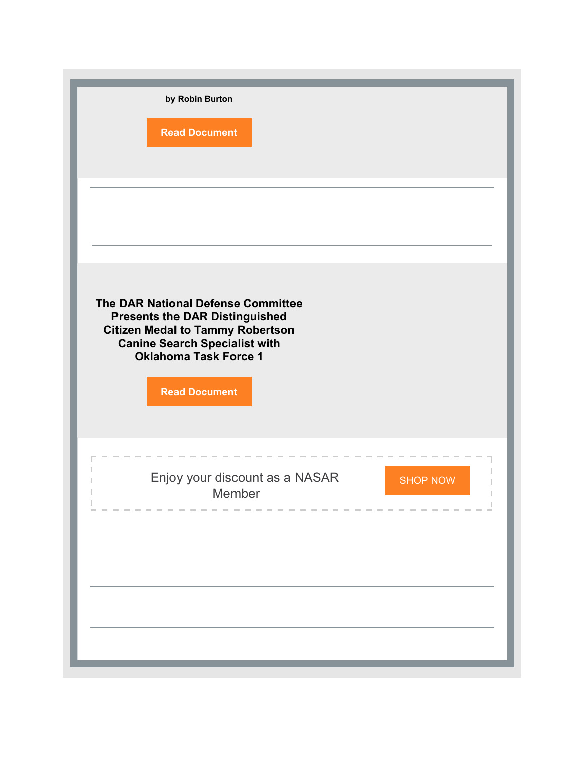